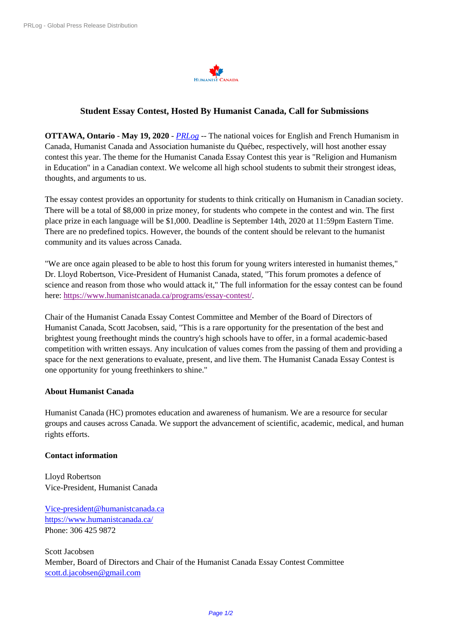

## **Student Essay Contest, Hosted By Humanist Canada, Call for Submissions**

**OTTAWA, Ontario** - **May 19, 2020** - *[PRLog](https://www.prlog.org/)* -- The national voices for English and French Humanism in Canada, Humanist Canada and Association humaniste du Québec, respectively, will host another essay contest this year. The theme for the Humanist Canada Essay Contest this year is "Religion and Humanism in Education" in a Canadian context. We welcome all high school students to submit their strongest ideas, thoughts, and arguments to us.

The essay contest provides an opportunity for students to think critically on Humanism in Canadian society. There will be a total of \$8,000 in prize money, for students who compete in the contest and win. The first place prize in each language will be \$1,000. Deadline is September 14th, 2020 at 11:59pm Eastern Time. There are no predefined topics. However, the bounds of the content should be relevant to the humanist community and its values across Canada.

"We are once again pleased to be able to host this forum for young writers interested in humanist themes," Dr. Lloyd Robertson, Vice-President of Humanist Canada, stated, "This forum promotes a defence of science and reason from those who would attack it," The full information for the essay contest can be found here: [https://www.humanistcanada.ca/programs/essay-contest/.](https://www.humanistcanada.ca/programs/essay-contest/)

Chair of the Humanist Canada Essay Contest Committee and Member of the Board of Directors of Humanist Canada, Scott Jacobsen, said, "This is a rare opportunity for the presentation of the best and brightest young freethought minds the country's high schools have to offer, in a formal academic-based competition with written essays. Any inculcation of values comes from the passing of them and providing a space for the next generations to evaluate, present, and live them. The Humanist Canada Essay Contest is one opportunity for young freethinkers to shine."

#### **About Humanist Canada**

Humanist Canada (HC) promotes education and awareness of humanism. We are a resource for secular groups and causes across Canada. We support the advancement of scientific, academic, medical, and human rights efforts.

#### **Contact information**

Lloyd Robertson Vice-President, Humanist Canada

[Vice-president@humanistcanada.ca](mailto:Vice-president@humanistcanada.ca) [https://www.humanistcanada.ca/](http://www.humanistcanada.ca/) Phone: 306 425 9872

Scott Jacobsen Member, Board of Directors and Chair of the Humanist Canada Essay Contest Committee [scott.d.jacobsen@gmail.com](mailto:scott.d.jacobsen@gmail.com)